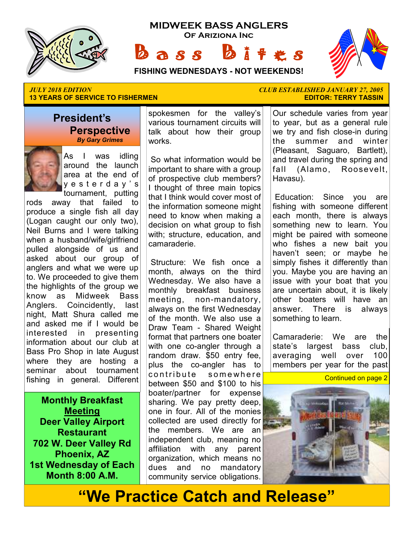

**MIDWEEK BASS ANGLERS Of Ariziona Inc**

 $\mathbf{a} s s$   $\mathbf{b}$ 



**FISHING WEDNESDAYS - NOT WEEKENDS!**

#### *JULY 2018 EDITION CLUB ESTABLISHED JANUARY 27, 2005*  **13 YEARS OF SERVICE TO FISHERMEN**

#### **President's Perspective**   *By Gary Grimes*



As I was idling around the launch area at the end of y e s t e r d a y ' s tournament, putting

rods away that failed to produce a single fish all day (Logan caught our only two), Neil Burns and I were talking when a husband/wife/girlfriend pulled alongside of us and asked about our group of anglers and what we were up to. We proceeded to give them the highlights of the group we know as Midweek Bass Anglers. Coincidently, last night, Matt Shura called me and asked me if I would be interested in presenting information about our club at Bass Pro Shop in late August where they are hosting a seminar about tournament fishing in general. Different

**Monthly Breakfast Meeting Deer Valley Airport Restaurant 702 W. Deer Valley Rd Phoenix, AZ 1st Wednesday of Each Month 8:00 A.M.** 

spokesmen for the valley's various tournament circuits will talk about how their group works.

 So what information would be important to share with a group of prospective club members? I thought of three main topics that I think would cover most of the information someone might need to know when making a decision on what group to fish with; structure, education, and camaraderie.

 Structure: We fish once a month, always on the third Wednesday. We also have a monthly breakfast business meeting, non-mandatory, always on the first Wednesday of the month. We also use a Draw Team - Shared Weight format that partners one boater with one co-angler through a random draw. \$50 entry fee, plus the co-angler has to contribute somewhere between \$50 and \$100 to his boater/partner for expense sharing. We pay pretty deep, one in four. All of the monies collected are used directly for the members. We are an independent club, meaning no affiliation with any parent organization, which means no dues and no mandatory community service obligations.

Our schedule varies from year to year, but as a general rule we try and fish close-in during the summer and winter (Pleasant, Saguaro, Bartlett), and travel during the spring and fall (Alamo, Roosevelt, Havasu).

 Education: Since you are fishing with someone different each month, there is always something new to learn. You might be paired with someone who fishes a new bait you haven't seen; or maybe he simply fishes it differently than you. Maybe you are having an issue with your boat that you are uncertain about, it is likely other boaters will have an answer. There is always something to learn.

Camaraderie: We are the state's largest bass club, averaging well over 100 members per year for the past



## **"We Practice Catch and Release"**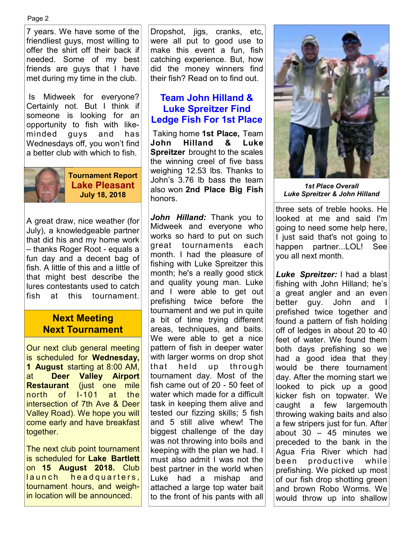#### Page 2

7 years. We have some of the friendliest guys, most willing to offer the shirt off their back if needed. Some of my best friends are guys that I have met during my time in the club.

 Is Midweek for everyone? Certainly not. But I think if someone is looking for an opportunity to fish with likeminded guys and has Wednesdays off, you won't find a better club with which to fish.



**Tournament Report Lake Pleasant July 18, 2018**

A great draw, nice weather (for July), a knowledgeable partner that did his and my home work – thanks Roger Root - equals a fun day and a decent bag of fish. A little of this and a little of that might best describe the lures contestants used to catch fish at this tournament.

#### **Next Meeting Next Tournament**

Our next club general meeting is scheduled for **Wednesday, 1 August** starting at 8:00 AM, at **Deer Valley Airport Restaurant** (just one mile north of I-101 at the intersection of 7th Ave & Deer Valley Road). We hope you will come early and have breakfast together.

The next club point tournament is scheduled for **Lake Bartlett**  on **15 August 2018.** Club l a u n c h h e a d q u a r t e r s, tournament hours, and weighin location will be announced.

Dropshot, jigs, cranks, etc, were all put to good use to make this event a fun, fish catching experience. But, how did the money winners find their fish? Read on to find out.

#### **Team John Hilland & Luke Spreitzer Find Ledge Fish For 1st Place**

 Taking home **1st Place,** Team **John Hilland & Luke Spreitzer** brought to the scales the winning creel of five bass weighing 12.53 lbs. Thanks to John's 3.76 lb bass the team also won **2nd Place Big Fish**  honors.

*John Hilland:* Thank you to Midweek and everyone who works so hard to put on such great tournaments each month. I had the pleasure of fishing with Luke Spreitzer this month; he's a really good stick and quality young man. Luke and I were able to get out prefishing twice before the tournament and we put in quite a bit of time trying different areas, techniques, and baits. We were able to get a nice pattern of fish in deeper water with larger worms on drop shot that held up through tournament day. Most of the fish came out of 20 - 50 feet of water which made for a difficult task in keeping them alive and tested our fizzing skills; 5 fish and 5 still alive whew! The biggest challenge of the day was not throwing into boils and keeping with the plan we had. I must also admit I was not the best partner in the world when Luke had a mishap and attached a large top water bait to the front of his pants with all



*1st Place Overall Luke Spreitzer & John Hilland* 

three sets of treble hooks. He looked at me and said I'm going to need some help here, I just said that's not going to happen partner...LOL! See you all next month.

*Luke Spreitzer:* I had a blast fishing with John Hilland; he's a great angler and an even better guy. John and prefished twice together and found a pattern of fish holding off of ledges in about 20 to 40 feet of water. We found them both days prefishing so we had a good idea that they would be there tournament day. After the morning start we looked to pick up a good kicker fish on topwater. We caught a few largemouth throwing waking baits and also a few stripers just for fun. After about 30 – 45 minutes we preceded to the bank in the Agua Fria River which had been productive while prefishing. We picked up most of our fish drop shotting green and brown Robo Worms. We would throw up into shallow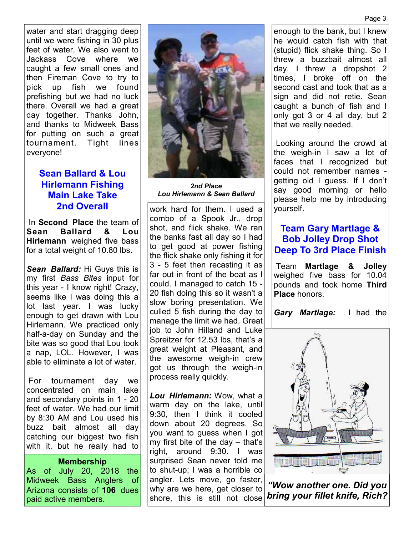Page 3

water and start dragging deep until we were fishing in 30 plus feet of water. We also went to Jackass Cove where we caught a few small ones and then Fireman Cove to try to pick up fish we found prefishing but we had no luck there. Overall we had a great day together. Thanks John, and thanks to Midweek Bass for putting on such a great tournament. Tight lines everyone!

#### **Sean Ballard & Lou Hirlemann Fishing Main Lake Take 2nd Overall**

 In **Second Place** the team of **Sean Ballard & Lou Hirlemann** weighed five bass for a total weight of 10.80 lbs.

*Sean Ballard:* Hi Guys this is my first *Bass Bites* input for this year - I know right! Crazy, seems like I was doing this a lot last year. I was lucky enough to get drawn with Lou Hirlemann. We practiced only half-a-day on Sunday and the bite was so good that Lou took a nap, LOL. However, I was able to eliminate a lot of water.

 For tournament day we concentrated on main lake and secondary points in 1 - 20 feet of water. We had our limit by 8:30 AM and Lou used his buzz bait almost all day catching our biggest two fish with it, but he really had to

#### **Membership**

As of July 20, 2018 the Midweek Bass Anglers of Arizona consists of **106** dues paid active members.



*2nd Place Lou Hirlemann & Sean Ballard*

work hard for them. I used a combo of a Spook Jr., drop shot, and flick shake. We ran the banks fast all day so I had to get good at power fishing the flick shake only fishing it for 3 - 5 feet then recasting it as far out in front of the boat as I could. I managed to catch 15 - 20 fish doing this so it wasn't a slow boring presentation. We culled 5 fish during the day to manage the limit we had. Great job to John Hilland and Luke Spreitzer for 12.53 lbs, that's a great weight at Pleasant, and the awesome weigh-in crew got us through the weigh-in process really quickly.

*Lou Hirlemann:* Wow, what a warm day on the lake, until 9:30, then I think it cooled down about 20 degrees. So you want to guess when I got my first bite of the day – that's right, around 9:30. I was surprised Sean never told me to shut-up; I was a horrible co angler. Lets move, go faster, why are we here, get closer to shore, this is still not close

enough to the bank, but I knew he would catch fish with that (stupid) flick shake thing. So I threw a buzzbait almost all day. I threw a dropshot 2 times, I broke off on the second cast and took that as a sign and did not retie. Sean caught a bunch of fish and I only got 3 or 4 all day, but 2 that we really needed.

 Looking around the crowd at the weigh-in I saw a lot of faces that I recognized but could not remember names getting old I guess. If I don't say good morning or hello please help me by introducing yourself.

#### **Team Gary Martlage & Bob Jolley Drop Shot Deep To 3rd Place Finish**

 Team **Martlage & Jolley**  weighed five bass for 10.04 pounds and took home **Third Place** honors.

*Gary Martlage:* I had the



*"Wow another one. Did you bring your fillet knife, Rich?*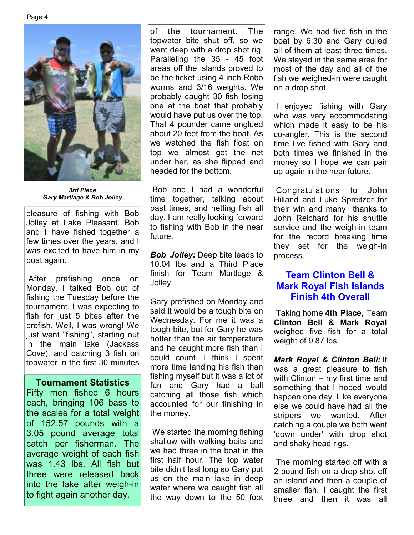

*3rd Place Gary Martlage & Bob Jolley*

pleasure of fishing with Bob Jolley at Lake Pleasant. Bob and I have fished together a few times over the years, and I was excited to have him in my boat again.

 After prefishing once on Monday, I talked Bob out of fishing the Tuesday before the tournament. I was expecting to fish for just 5 bites after the prefish. Well, I was wrong! We just went "fishing", starting out in the main lake (Jackass Cove), and catching 3 fish on topwater in the first 30 minutes

#### **Tournament Statistics**

Fifty men fished 6 hours each, bringing 106 bass to the scales for a total weight of 152.57 pounds with a 3.05 pound average total catch per fisherman. The average weight of each fish was 1.43 lbs. All fish but three were released back into the lake after weigh-in to fight again another day.

of the tournament. The topwater bite shut off, so we went deep with a drop shot rig. Paralleling the 35 - 45 foot areas off the islands proved to be the ticket using 4 inch Robo worms and 3/16 weights. We probably caught 30 fish losing one at the boat that probably would have put us over the top. That 4 pounder came unglued about 20 feet from the boat. As we watched the fish float on top we almost got the net under her, as she flipped and headed for the bottom.

 Bob and I had a wonderful time together, talking about past times, and netting fish all day. I am really looking forward to fishing with Bob in the near future.

*Bob Jolley:* Deep bite leads to 10.04 lbs and a Third Place finish for Team Martlage & Jolley.

Gary prefished on Monday and said it would be a tough bite on Wednesday. For me it was a tough bite, but for Gary he was hotter than the air temperature and he caught more fish than I could count. I think I spent more time landing his fish than fishing myself but it was a lot of fun and Gary had a ball catching all those fish which accounted for our finishing in the money.

 We started the morning fishing shallow with walking baits and we had three in the boat in the first half hour. The top water bite didn't last long so Gary put us on the main lake in deep water where we caught fish all the way down to the 50 foot range. We had five fish in the boat by 6:30 and Gary culled all of them at least three times. We stayed in the same area for most of the day and all of the fish we weighed-in were caught on a drop shot.

 I enjoyed fishing with Gary who was very accommodating which made it easy to be his co-angler. This is the second time I've fished with Gary and both times we finished in the money so I hope we can pair up again in the near future.

 Congratulations to John Hilland and Luke Spreitzer for their win and many thanks to John Reichard for his shuttle service and the weigh-in team for the record breaking time they set for the weigh-in process.

#### **Team Clinton Bell & Mark Royal Fish Islands Finish 4th Overall**

 Taking home **4th Place,** Team **Clinton Bell & Mark Royal**  weighed five fish for a total weight of 9.87 lbs.

*Mark Royal & Clinton Bell:* It was a great pleasure to fish with Clinton – my first time and something that I hoped would happen one day. Like everyone else we could have had all the stripers we wanted. After catching a couple we both went 'down under' with drop shot and shaky head rigs.

 The morning started off with a 2 pound fish on a drop shot off an island and then a couple of smaller fish. I caught the first three and then it was all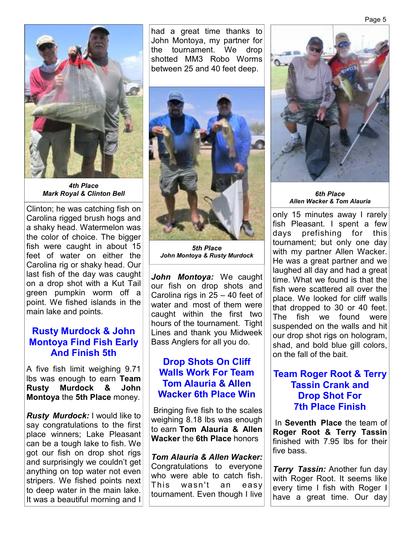

*4th Place Mark Royal & Clinton Bell* 

Clinton; he was catching fish on Carolina rigged brush hogs and a shaky head. Watermelon was the color of choice. The bigger fish were caught in about 15 feet of water on either the Carolina rig or shaky head. Our last fish of the day was caught on a drop shot with a Kut Tail green pumpkin worm off a point. We fished islands in the main lake and points.

#### **Rusty Murdock & John Montoya Find Fish Early And Finish 5th**

A five fish limit weighing 9.71 lbs was enough to earn **Team Rusty Murdock & John Montoya** the **5th Place** money.

*Rusty Murdock:* I would like to say congratulations to the first place winners; Lake Pleasant can be a tough lake to fish. We got our fish on drop shot rigs and surprisingly we couldn't get anything on top water not even stripers. We fished points next to deep water in the main lake. It was a beautiful morning and I

had a great time thanks to John Montoya, my partner for the tournament. We drop shotted MM3 Robo Worms between 25 and 40 feet deep.



*5th Place John Montoya & Rusty Murdock* 

*John Montoya:* We caught our fish on drop shots and Carolina rigs in 25 – 40 feet of water and most of them were caught within the first two hours of the tournament. Tight Lines and thank you Midweek Bass Anglers for all you do.

#### **Drop Shots On Cliff Walls Work For Team Tom Alauria & Allen Wacker 6th Place Win**

 Bringing five fish to the scales weighing 8.18 lbs was enough to earn **Tom Alauria & Allen Wacker** the **6th Place** honors

*Tom Alauria & Allen Wacker:* Congratulations to everyone who were able to catch fish. This wasn't an easy tournament. Even though I live



*6th Place Allen Wacker & Tom Alauria* 

only 15 minutes away I rarely fish Pleasant. I spent a few days prefishing for this tournament; but only one day with my partner Allen Wacker. He was a great partner and we laughed all day and had a great time. What we found is that the fish were scattered all over the place. We looked for cliff walls that dropped to 30 or 40 feet. The fish we found were suspended on the walls and hit our drop shot rigs on hologram, shad, and bold blue gill colors, on the fall of the bait.

#### **Team Roger Root & Terry Tassin Crank and Drop Shot For 7th Place Finish**

 In **Seventh Place** the team of **Roger Root & Terry Tassin**  finished with 7.95 lbs for their five bass.

*Terry Tassin:* Another fun day with Roger Root. It seems like every time I fish with Roger I have a great time. Our day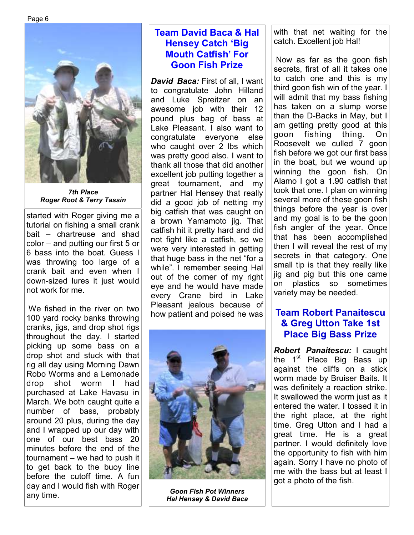

*7th Place Roger Root & Terry Tassin* 

started with Roger giving me a tutorial on fishing a small crank bait – chartreuse and shad color – and putting our first 5 or 6 bass into the boat. Guess I was throwing too large of a crank bait and even when I down-sized lures it just would not work for me.

 We fished in the river on two 100 yard rocky banks throwing cranks, jigs, and drop shot rigs throughout the day. I started picking up some bass on a drop shot and stuck with that rig all day using Morning Dawn Robo Worms and a Lemonade drop shot worm I had purchased at Lake Havasu in March. We both caught quite a number of bass, probably around 20 plus, during the day and I wrapped up our day with one of our best bass 20 minutes before the end of the tournament – we had to push it to get back to the buoy line before the cutoff time. A fun day and I would fish with Roger any time.

#### **Team David Baca & Hal Hensey Catch 'Big Mouth Catfish' For Goon Fish Prize**

*David Baca:* First of all, I want to congratulate John Hilland and Luke Spreitzer on an awesome job with their 12 pound plus bag of bass at Lake Pleasant. I also want to congratulate everyone else who caught over 2 lbs which was pretty good also. I want to thank all those that did another excellent job putting together a great tournament, and my partner Hal Hensey that really did a good job of netting my big catfish that was caught on a brown Yamamoto jig. That catfish hit it pretty hard and did not fight like a catfish, so we were very interested in getting that huge bass in the net "for a while". I remember seeing Hal out of the corner of my right eye and he would have made every Crane bird in Lake Pleasant jealous because of how patient and poised he was



*Goon Fish Pot Winners Hal Hensey & David Baca*

with that net waiting for the catch. Excellent job Hal!

 Now as far as the goon fish secrets, first of all it takes one to catch one and this is my third goon fish win of the year. I will admit that my bass fishing has taken on a slump worse than the D-Backs in May, but I am getting pretty good at this goon fishing thing. On Roosevelt we culled 7 goon fish before we got our first bass in the boat, but we wound up winning the goon fish. On Alamo I got a 1.90 catfish that took that one. I plan on winning several more of these goon fish things before the year is over and my goal is to be the goon fish angler of the year. Once that has been accomplished then I will reveal the rest of my secrets in that category. One small tip is that they really like jig and pig but this one came on plastics so sometimes variety may be needed.

#### **Team Robert Panaitescu & Greg Utton Take 1st Place Big Bass Prize**

*Robert Panaitescu:* I caught the 1<sup>st</sup> Place Big Bass up against the cliffs on a stick worm made by Bruiser Baits. It was definitely a reaction strike. It swallowed the worm just as it entered the water. I tossed it in the right place, at the right time. Greg Utton and I had a great time. He is a great partner. I would definitely love the opportunity to fish with him again. Sorry I have no photo of me with the bass but at least I got a photo of the fish.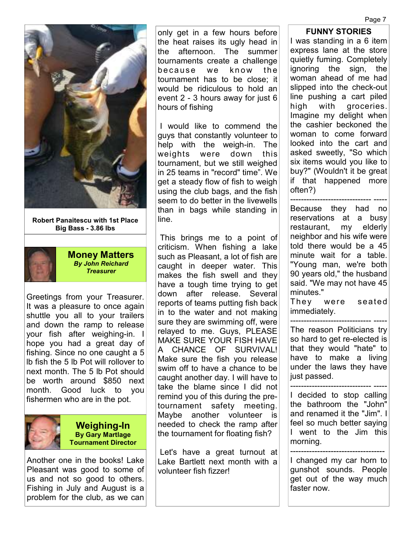

**Robert Panaitescu with 1st Place Big Bass - 3.86 lbs** 

**Money Matters**  *By John Reichard Treasurer* 

Greetings from your Treasurer. It was a pleasure to once again shuttle you all to your trailers and down the ramp to release your fish after weighing-in. I hope you had a great day of fishing. Since no one caught a 5 lb fish the 5 lb Pot will rollover to next month. The 5 lb Pot should be worth around \$850 next month. Good luck to you fishermen who are in the pot.



**Weighing-In By Gary Martlage Tournament Director** 

Another one in the books! Lake Pleasant was good to some of us and not so good to others. Fishing in July and August is a problem for the club, as we can only get in a few hours before the heat raises its ugly head in the afternoon. The summer tournaments create a challenge because we know the tournament has to be close; it would be ridiculous to hold an event 2 - 3 hours away for just 6 hours of fishing

 I would like to commend the guys that constantly volunteer to help with the weigh-in. The weights were down this tournament, but we still weighed in 25 teams in "record" time". We get a steady flow of fish to weigh using the club bags, and the fish seem to do better in the livewells than in bags while standing in line.

 This brings me to a point of criticism. When fishing a lake such as Pleasant, a lot of fish are caught in deeper water. This makes the fish swell and they have a tough time trying to get down after release. Several reports of teams putting fish back in to the water and not making sure they are swimming off, were relayed to me. Guys, PLEASE MAKE SURE YOUR FISH HAVE A CHANCE OF SURVIVAL! Make sure the fish you release swim off to have a chance to be caught another day. I will have to take the blame since I did not remind you of this during the pretournament safety meeting. Maybe another volunteer is needed to check the ramp after the tournament for floating fish?

 Let's have a great turnout at Lake Bartlett next month with a volunteer fish fizzer!

#### **FUNNY STORIES**

Page 7

I was standing in a 6 item express lane at the store quietly fuming. Completely ignoring the sign, the woman ahead of me had slipped into the check-out line pushing a cart piled high with groceries. Imagine my delight when the cashier beckoned the woman to come forward looked into the cart and asked sweetly, "So which six items would you like to buy?" (Wouldn't it be great if that happened more often?)

------------------------------ ----- Because they had no reservations at a busy restaurant, my elderly neighbor and his wife were told there would be a 45 minute wait for a table. "Young man, we're both 90 years old," the husband said. "We may not have 45 minutes."

They were seated immediately.

------------------------------ ----- The reason Politicians try so hard to get re-elected is that they would "hate" to have to make a living under the laws they have just passed.

------------------------------ ----- I decided to stop calling the bathroom the "John" and renamed it the "Jim". I feel so much better saying I went to the Jim this morning.

----------------------------------- I changed my car horn to gunshot sounds. People get out of the way much faster now.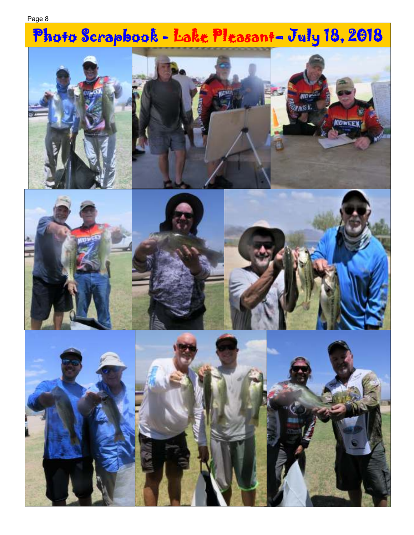#### Page 8

# Photo Scrapbook - Lake Pleasant- July 18, 2018